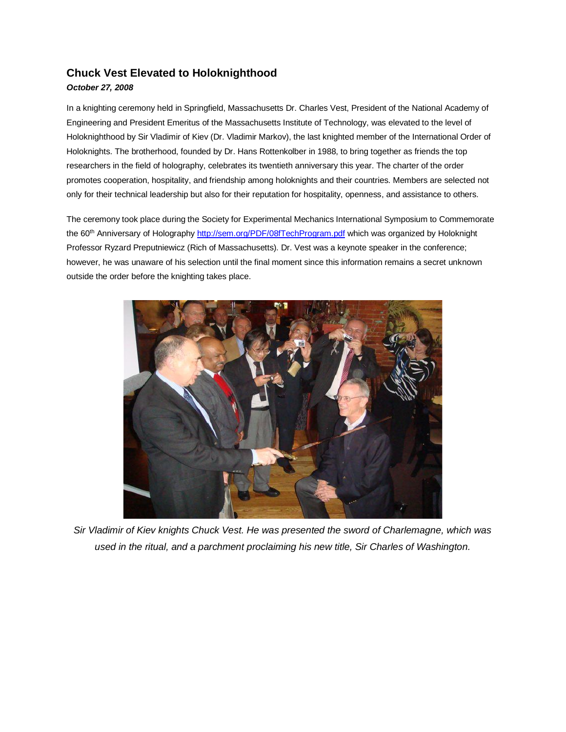## **Chuck Vest Elevated to Holoknighthood**

## *October 27, 2008*

In a knighting ceremony held in Springfield, Massachusetts Dr. Charles Vest, President of the National Academy of Engineering and President Emeritus of the Massachusetts Institute of Technology, was elevated to the level of Holoknighthood by Sir Vladimir of Kiev (Dr. Vladimir Markov), the last knighted member of the International Order of Holoknights. The brotherhood, founded by Dr. Hans Rottenkolber in 1988, to bring together as friends the top researchers in the field of holography, celebrates its twentieth anniversary this year. The charter of the order promotes cooperation, hospitality, and friendship among holoknights and their countries. Members are selected not only for their technical leadership but also for their reputation for hospitality, openness, and assistance to others.

The ceremony took place during the Society for Experimental Mechanics International Symposium to Commemorate the 60<sup>th</sup> Anniversary of Holography<http://sem.org/PDF/08fTechProgram.pdf> which was organized by Holoknight Professor Ryzard Preputniewicz (Rich of Massachusetts). Dr. Vest was a keynote speaker in the conference; however, he was unaware of his selection until the final moment since this information remains a secret unknown outside the order before the knighting takes place.



*Sir Vladimir of Kiev knights Chuck Vest. He was presented the sword of Charlemagne, which was used in the ritual, and a parchment proclaiming his new title, Sir Charles of Washington.*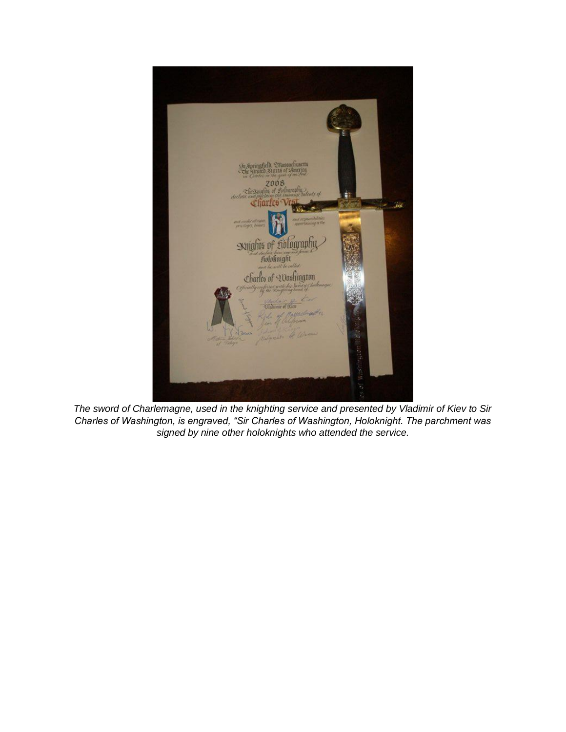

*The sword of Charlemagne, used in the knighting service and presented by Vladimir of Kiev to Sir Charles of Washington, is engraved, "Sir Charles of Washington, Holoknight. The parchment was signed by nine other holoknights who attended the service.*